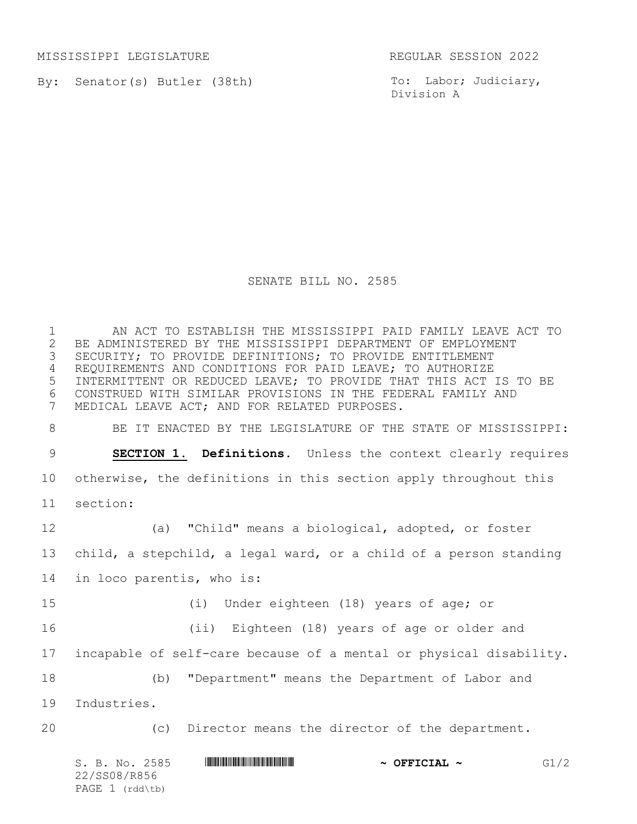MISSISSIPPI LEGISLATURE REGULAR SESSION 2022

PAGE 1 (rdd\tb)

By: Senator(s) Butler (38th)

To: Labor; Judiciary, Division A

## SENATE BILL NO. 2585

S. B. No. 2585 **\*\*\* AND \*\*\*\* THE \*\*\*\* \*\*\* COFFICIAL ~\*\*\*** G1/2 22/SS08/R856 AN ACT TO ESTABLISH THE MISSISSIPPI PAID FAMILY LEAVE ACT TO 2 BE ADMINISTERED BY THE MISSISSIPPI DEPARTMENT OF EMPLOYMENT<br>3 SECURITY; TO PROVIDE DEFINITIONS; TO PROVIDE ENTITLEMENT SECURITY; TO PROVIDE DEFINITIONS; TO PROVIDE ENTITLEMENT REQUIREMENTS AND CONDITIONS FOR PAID LEAVE; TO AUTHORIZE INTERMITTENT OR REDUCED LEAVE; TO PROVIDE THAT THIS ACT IS TO BE CONSTRUED WITH SIMILAR PROVISIONS IN THE FEDERAL FAMILY AND MEDICAL LEAVE ACT; AND FOR RELATED PURPOSES. BE IT ENACTED BY THE LEGISLATURE OF THE STATE OF MISSISSIPPI: **SECTION 1. Definitions.** Unless the context clearly requires otherwise, the definitions in this section apply throughout this section: (a) "Child" means a biological, adopted, or foster child, a stepchild, a legal ward, or a child of a person standing in loco parentis, who is: (i) Under eighteen (18) years of age; or (ii) Eighteen (18) years of age or older and incapable of self-care because of a mental or physical disability. (b) "Department" means the Department of Labor and Industries. (c) Director means the director of the department.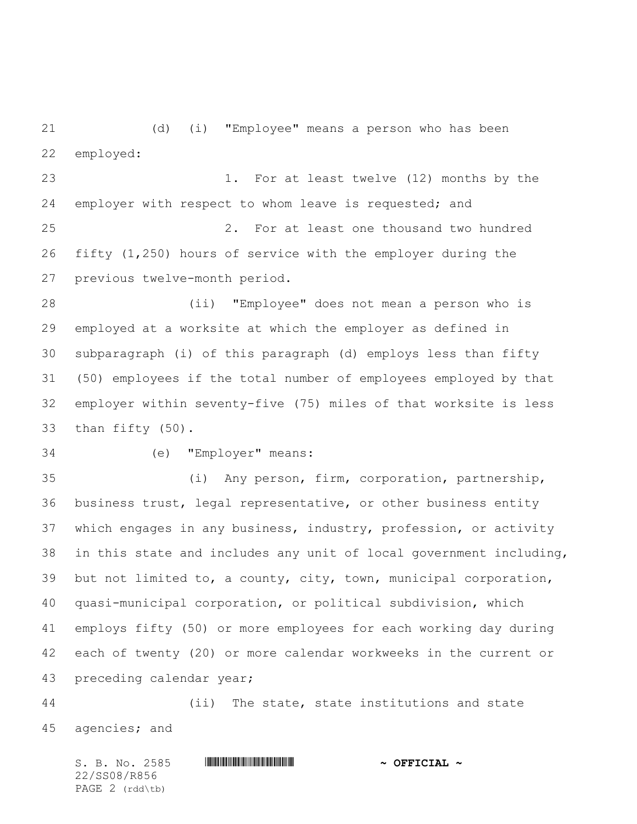(d) (i) "Employee" means a person who has been employed:

 1. For at least twelve (12) months by the employer with respect to whom leave is requested; and 2. For at least one thousand two hundred fifty (1,250) hours of service with the employer during the previous twelve-month period.

 (ii) "Employee" does not mean a person who is employed at a worksite at which the employer as defined in subparagraph (i) of this paragraph (d) employs less than fifty (50) employees if the total number of employees employed by that employer within seventy-five (75) miles of that worksite is less than fifty (50).

## (e) "Employer" means:

 (i) Any person, firm, corporation, partnership, business trust, legal representative, or other business entity which engages in any business, industry, profession, or activity in this state and includes any unit of local government including, but not limited to, a county, city, town, municipal corporation, quasi-municipal corporation, or political subdivision, which employs fifty (50) or more employees for each working day during each of twenty (20) or more calendar workweeks in the current or preceding calendar year;

 (ii) The state, state institutions and state agencies; and

S. B. No. 2585 \*SS08/R856\* **~ OFFICIAL ~** 22/SS08/R856 PAGE 2 (rdd\tb)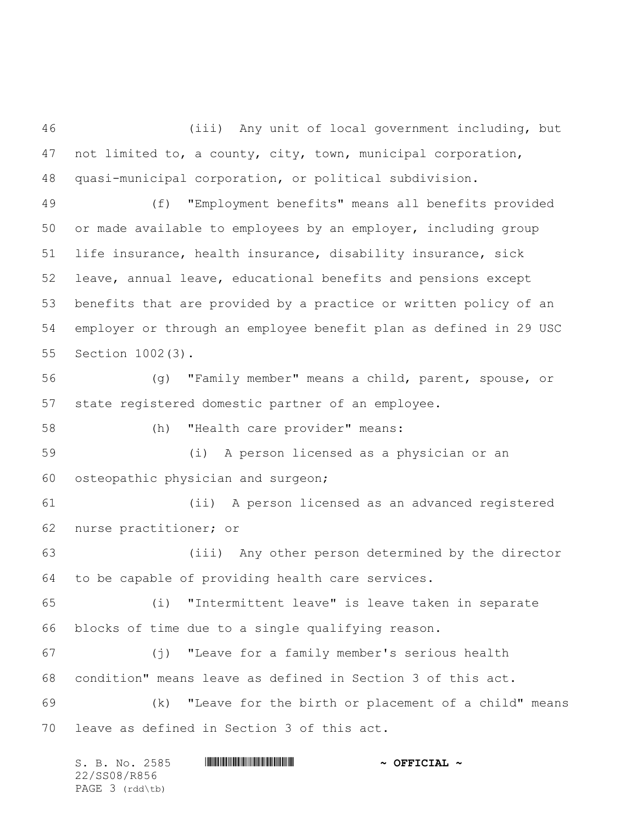(iii) Any unit of local government including, but not limited to, a county, city, town, municipal corporation, quasi-municipal corporation, or political subdivision.

 (f) "Employment benefits" means all benefits provided or made available to employees by an employer, including group life insurance, health insurance, disability insurance, sick leave, annual leave, educational benefits and pensions except benefits that are provided by a practice or written policy of an employer or through an employee benefit plan as defined in 29 USC Section 1002(3).

 (g) "Family member" means a child, parent, spouse, or state registered domestic partner of an employee.

(h) "Health care provider" means:

 (i) A person licensed as a physician or an osteopathic physician and surgeon;

 (ii) A person licensed as an advanced registered nurse practitioner; or

 (iii) Any other person determined by the director to be capable of providing health care services.

 (i) "Intermittent leave" is leave taken in separate blocks of time due to a single qualifying reason.

 (j) "Leave for a family member's serious health condition" means leave as defined in Section 3 of this act.

 (k) "Leave for the birth or placement of a child" means leave as defined in Section 3 of this act.

| S. B. No. 2585  | $\sim$ OFFICIAL $\sim$ |
|-----------------|------------------------|
| 22/SS08/R856    |                        |
| PAGE 3 (rdd\tb) |                        |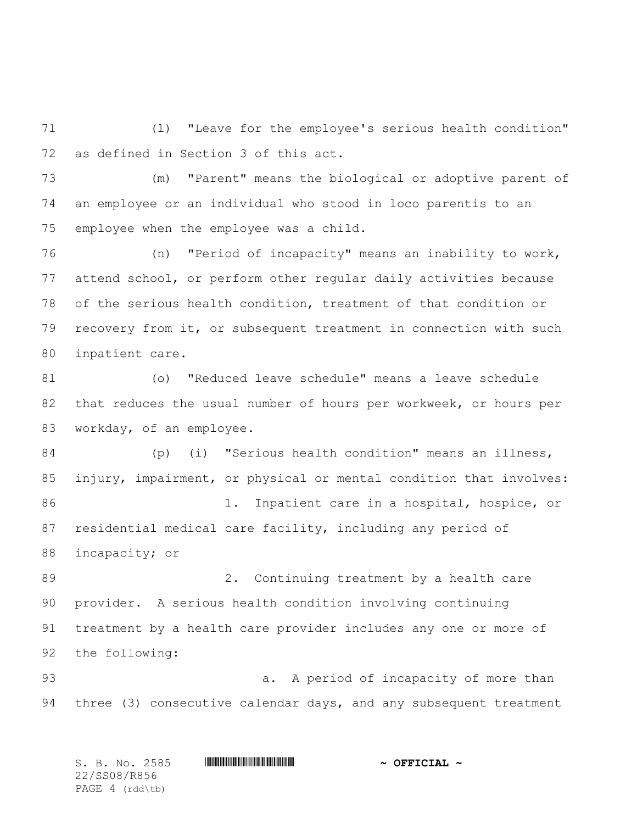(l) "Leave for the employee's serious health condition" as defined in Section 3 of this act.

 (m) "Parent" means the biological or adoptive parent of an employee or an individual who stood in loco parentis to an employee when the employee was a child.

 (n) "Period of incapacity" means an inability to work, attend school, or perform other regular daily activities because of the serious health condition, treatment of that condition or recovery from it, or subsequent treatment in connection with such inpatient care.

 (o) "Reduced leave schedule" means a leave schedule that reduces the usual number of hours per workweek, or hours per workday, of an employee.

 (p) (i) "Serious health condition" means an illness, injury, impairment, or physical or mental condition that involves: 1. Inpatient care in a hospital, hospice, or residential medical care facility, including any period of incapacity; or

89 2. Continuing treatment by a health care provider. A serious health condition involving continuing treatment by a health care provider includes any one or more of the following:

 a. A period of incapacity of more than three (3) consecutive calendar days, and any subsequent treatment

S. B. No. 2585 \*SS08/R856\* **~ OFFICIAL ~** 22/SS08/R856 PAGE 4 (rdd\tb)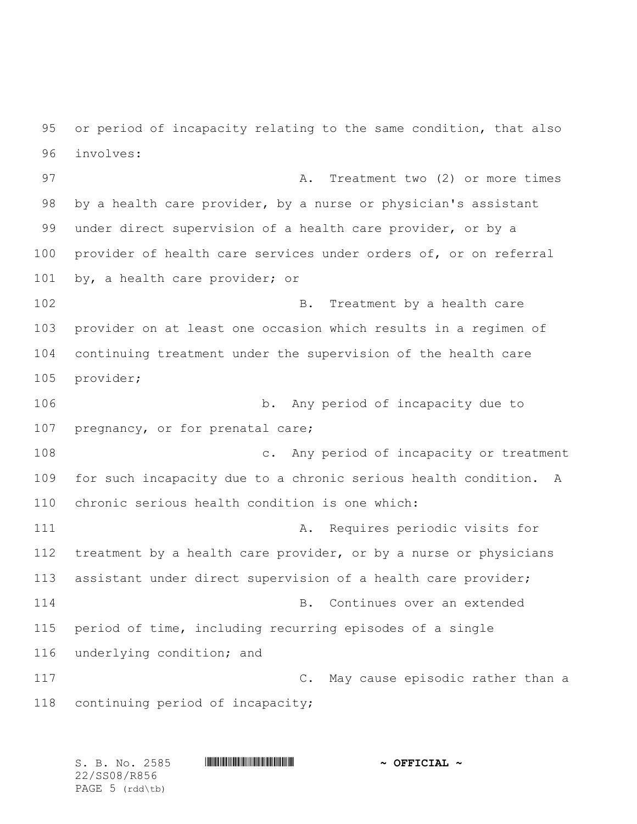or period of incapacity relating to the same condition, that also involves:

97 A. Treatment two (2) or more times by a health care provider, by a nurse or physician's assistant under direct supervision of a health care provider, or by a provider of health care services under orders of, or on referral by, a health care provider; or

102 B. Treatment by a health care provider on at least one occasion which results in a regimen of continuing treatment under the supervision of the health care provider;

 b. Any period of incapacity due to 107 pregnancy, or for prenatal care;

 c. Any period of incapacity or treatment for such incapacity due to a chronic serious health condition. A chronic serious health condition is one which:

111 A. Requires periodic visits for 112 treatment by a health care provider, or by a nurse or physicians assistant under direct supervision of a health care provider; B. Continues over an extended period of time, including recurring episodes of a single underlying condition; and C. May cause episodic rather than a

continuing period of incapacity;

S. B. No. 2585 \*SS08/R856\* **~ OFFICIAL ~** 22/SS08/R856 PAGE (rdd\tb)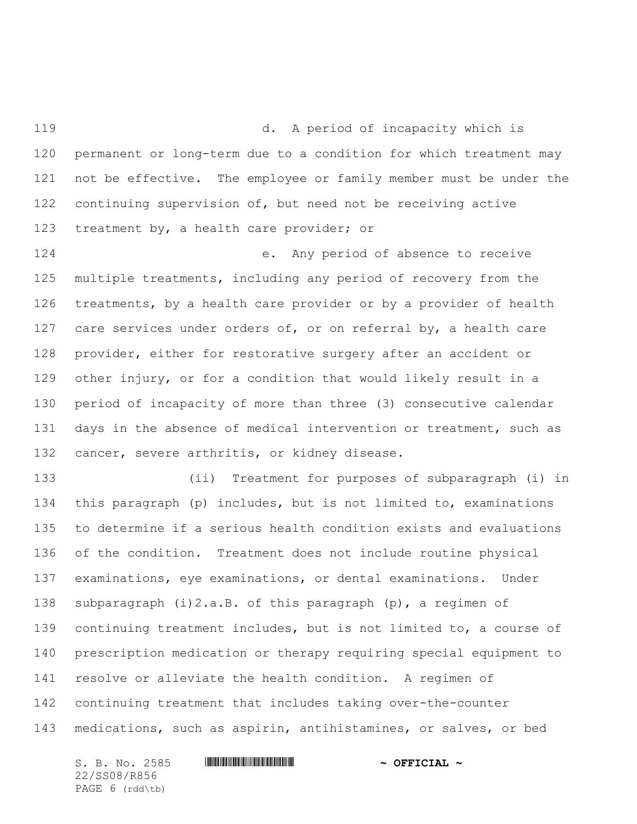d. A period of incapacity which is permanent or long-term due to a condition for which treatment may not be effective. The employee or family member must be under the continuing supervision of, but need not be receiving active treatment by, a health care provider; or

 e. Any period of absence to receive multiple treatments, including any period of recovery from the treatments, by a health care provider or by a provider of health 127 care services under orders of, or on referral by, a health care provider, either for restorative surgery after an accident or other injury, or for a condition that would likely result in a period of incapacity of more than three (3) consecutive calendar 131 days in the absence of medical intervention or treatment, such as cancer, severe arthritis, or kidney disease.

 (ii) Treatment for purposes of subparagraph (i) in this paragraph (p) includes, but is not limited to, examinations to determine if a serious health condition exists and evaluations of the condition. Treatment does not include routine physical examinations, eye examinations, or dental examinations. Under subparagraph (i)2.a.B. of this paragraph (p), a regimen of continuing treatment includes, but is not limited to, a course of prescription medication or therapy requiring special equipment to resolve or alleviate the health condition. A regimen of continuing treatment that includes taking over-the-counter medications, such as aspirin, antihistamines, or salves, or bed

S. B. No. 2585 \*SS08/R856\* **~ OFFICIAL ~** 22/SS08/R856 PAGE 6 (rdd\tb)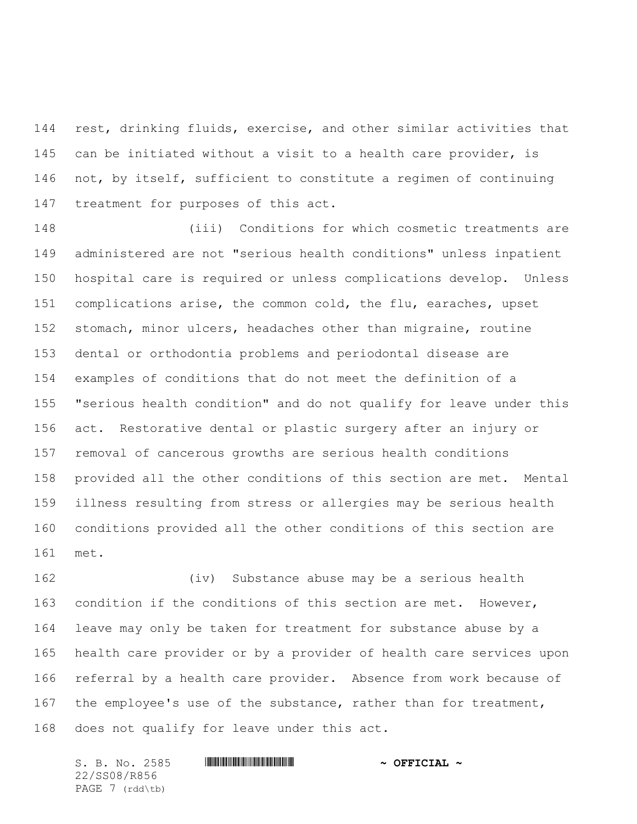rest, drinking fluids, exercise, and other similar activities that can be initiated without a visit to a health care provider, is 146 not, by itself, sufficient to constitute a regimen of continuing treatment for purposes of this act.

 (iii) Conditions for which cosmetic treatments are administered are not "serious health conditions" unless inpatient hospital care is required or unless complications develop. Unless complications arise, the common cold, the flu, earaches, upset stomach, minor ulcers, headaches other than migraine, routine dental or orthodontia problems and periodontal disease are examples of conditions that do not meet the definition of a 155 "serious health condition" and do not qualify for leave under this act. Restorative dental or plastic surgery after an injury or removal of cancerous growths are serious health conditions provided all the other conditions of this section are met. Mental illness resulting from stress or allergies may be serious health conditions provided all the other conditions of this section are met.

 (iv) Substance abuse may be a serious health condition if the conditions of this section are met. However, leave may only be taken for treatment for substance abuse by a health care provider or by a provider of health care services upon referral by a health care provider. Absence from work because of 167 the employee's use of the substance, rather than for treatment, does not qualify for leave under this act.

S. B. No. 2585 \*SS08/R856\* **~ OFFICIAL ~** 22/SS08/R856 PAGE 7 (rdd\tb)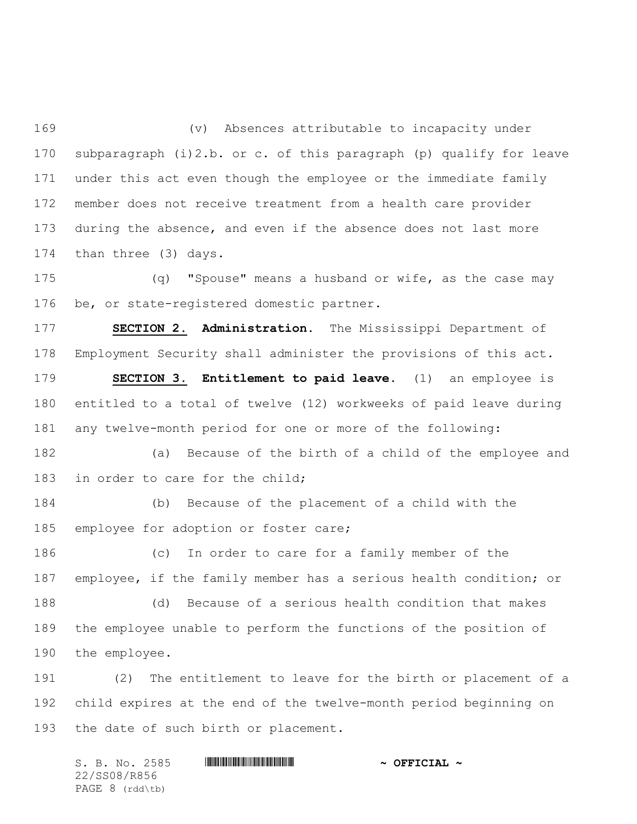(v) Absences attributable to incapacity under subparagraph (i)2.b. or c. of this paragraph (p) qualify for leave under this act even though the employee or the immediate family member does not receive treatment from a health care provider during the absence, and even if the absence does not last more than three (3) days.

 (q) "Spouse" means a husband or wife, as the case may be, or state-registered domestic partner.

 **SECTION 2. Administration**. The Mississippi Department of Employment Security shall administer the provisions of this act.

 **SECTION 3. Entitlement to paid leave.** (1) an employee is entitled to a total of twelve (12) workweeks of paid leave during any twelve-month period for one or more of the following:

 (a) Because of the birth of a child of the employee and 183 in order to care for the child;

 (b) Because of the placement of a child with the 185 employee for adoption or foster care;

 (c) In order to care for a family member of the employee, if the family member has a serious health condition; or (d) Because of a serious health condition that makes the employee unable to perform the functions of the position of the employee.

 (2) The entitlement to leave for the birth or placement of a child expires at the end of the twelve-month period beginning on the date of such birth or placement.

S. B. No. 2585 \*SS08/R856\* **~ OFFICIAL ~** 22/SS08/R856 PAGE 8 (rdd\tb)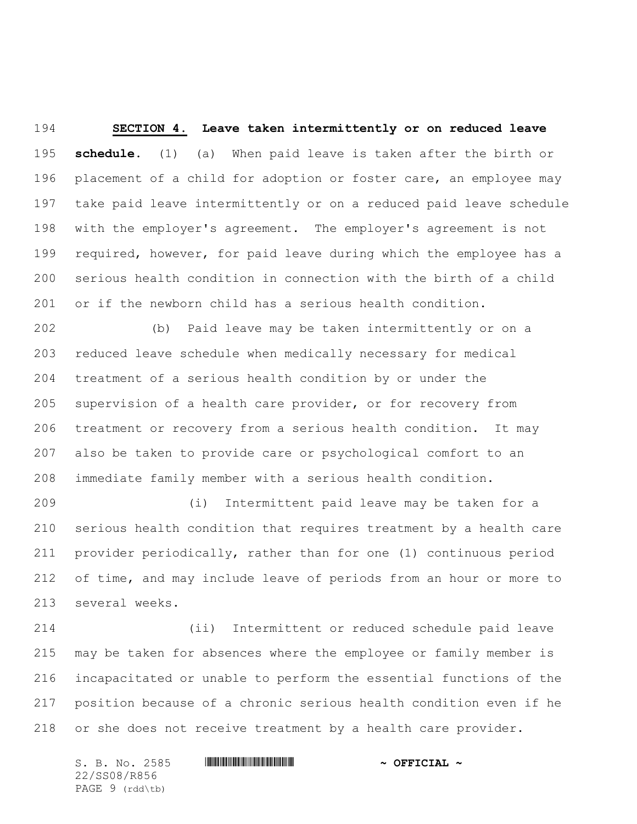**SECTION 4. Leave taken intermittently or on reduced leave schedule.** (1) (a) When paid leave is taken after the birth or 196 placement of a child for adoption or foster care, an employee may take paid leave intermittently or on a reduced paid leave schedule with the employer's agreement. The employer's agreement is not required, however, for paid leave during which the employee has a serious health condition in connection with the birth of a child or if the newborn child has a serious health condition.

 (b) Paid leave may be taken intermittently or on a reduced leave schedule when medically necessary for medical treatment of a serious health condition by or under the supervision of a health care provider, or for recovery from treatment or recovery from a serious health condition. It may also be taken to provide care or psychological comfort to an immediate family member with a serious health condition.

 (i) Intermittent paid leave may be taken for a serious health condition that requires treatment by a health care provider periodically, rather than for one (1) continuous period of time, and may include leave of periods from an hour or more to several weeks.

 (ii) Intermittent or reduced schedule paid leave may be taken for absences where the employee or family member is incapacitated or unable to perform the essential functions of the position because of a chronic serious health condition even if he or she does not receive treatment by a health care provider.

S. B. No. 2585 \*SS08/R856\* **~ OFFICIAL ~** 22/SS08/R856 PAGE 9 (rdd\tb)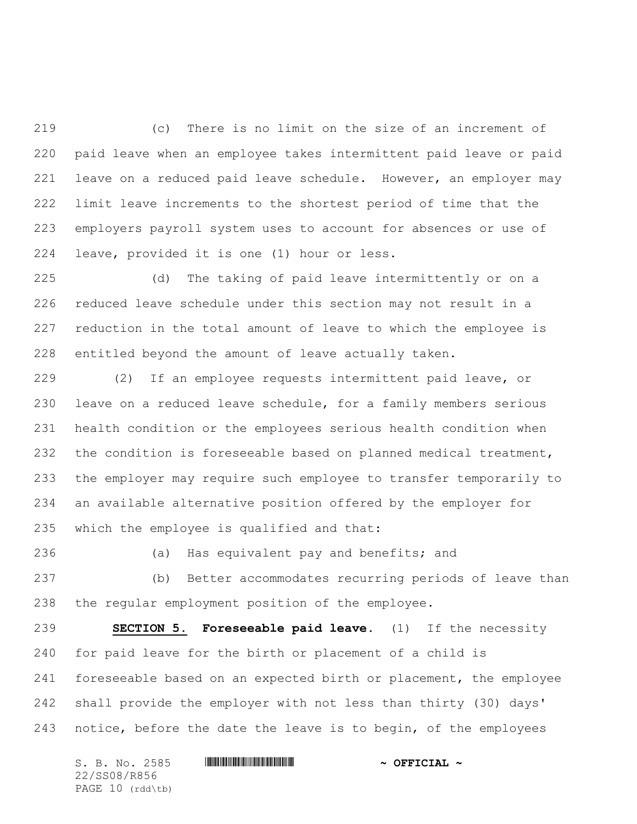(c) There is no limit on the size of an increment of paid leave when an employee takes intermittent paid leave or paid 221 leave on a reduced paid leave schedule. However, an employer may limit leave increments to the shortest period of time that the employers payroll system uses to account for absences or use of leave, provided it is one (1) hour or less.

 (d) The taking of paid leave intermittently or on a reduced leave schedule under this section may not result in a reduction in the total amount of leave to which the employee is entitled beyond the amount of leave actually taken.

 (2) If an employee requests intermittent paid leave, or leave on a reduced leave schedule, for a family members serious health condition or the employees serious health condition when 232 the condition is foreseeable based on planned medical treatment, the employer may require such employee to transfer temporarily to an available alternative position offered by the employer for which the employee is qualified and that:

(a) Has equivalent pay and benefits; and

 (b) Better accommodates recurring periods of leave than the regular employment position of the employee.

 **SECTION 5. Foreseeable paid leave.** (1) If the necessity for paid leave for the birth or placement of a child is 241 foreseeable based on an expected birth or placement, the employee shall provide the employer with not less than thirty (30) days' 243 notice, before the date the leave is to begin, of the employees

| S. B. No. 2585      | $\sim$ OFFICIAL $\sim$ |
|---------------------|------------------------|
| 22/SS08/R856        |                        |
| PAGE $10$ (rdd (tb) |                        |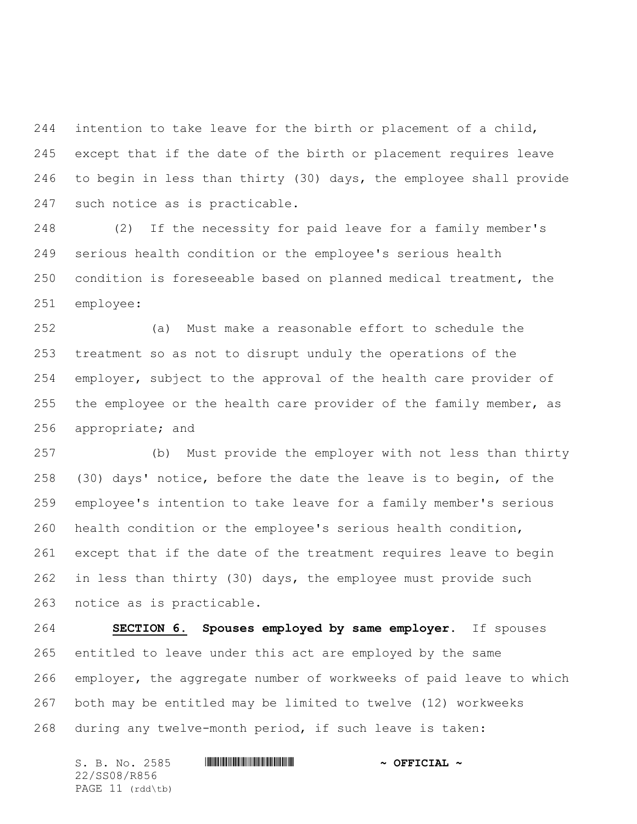intention to take leave for the birth or placement of a child, except that if the date of the birth or placement requires leave to begin in less than thirty (30) days, the employee shall provide such notice as is practicable.

 (2) If the necessity for paid leave for a family member's serious health condition or the employee's serious health condition is foreseeable based on planned medical treatment, the employee:

 (a) Must make a reasonable effort to schedule the treatment so as not to disrupt unduly the operations of the employer, subject to the approval of the health care provider of 255 the employee or the health care provider of the family member, as appropriate; and

 (b) Must provide the employer with not less than thirty (30) days' notice, before the date the leave is to begin, of the employee's intention to take leave for a family member's serious health condition or the employee's serious health condition, except that if the date of the treatment requires leave to begin in less than thirty (30) days, the employee must provide such notice as is practicable.

 **SECTION 6. Spouses employed by same employer.** If spouses entitled to leave under this act are employed by the same employer, the aggregate number of workweeks of paid leave to which both may be entitled may be limited to twelve (12) workweeks during any twelve-month period, if such leave is taken:

S. B. No. 2585 \*SS08/R856\* **~ OFFICIAL ~** 22/SS08/R856 PAGE 11 (rdd\tb)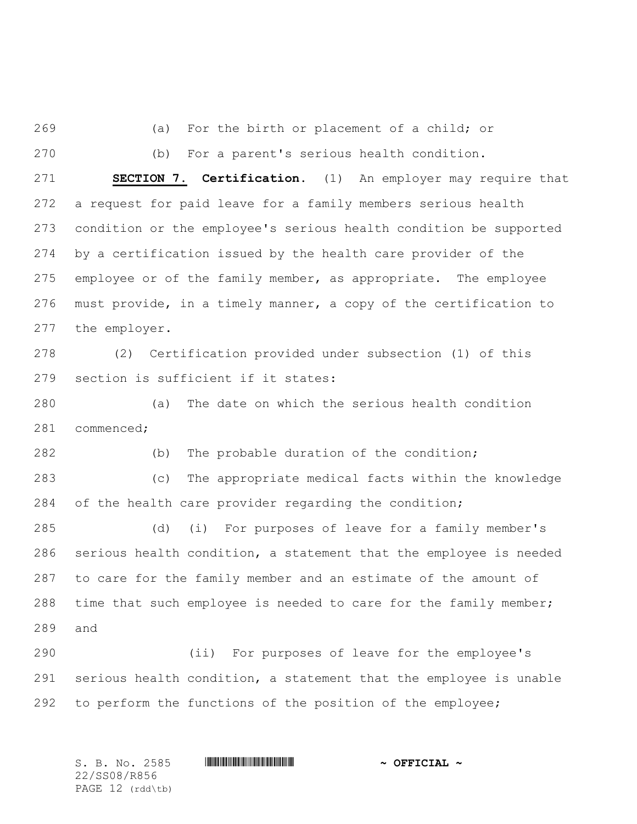(a) For the birth or placement of a child; or

(b) For a parent's serious health condition.

 **SECTION 7. Certification.** (1) An employer may require that a request for paid leave for a family members serious health condition or the employee's serious health condition be supported by a certification issued by the health care provider of the employee or of the family member, as appropriate. The employee must provide, in a timely manner, a copy of the certification to the employer.

 (2) Certification provided under subsection (1) of this section is sufficient if it states:

 (a) The date on which the serious health condition commenced;

(b) The probable duration of the condition;

 (c) The appropriate medical facts within the knowledge of the health care provider regarding the condition;

 (d) (i) For purposes of leave for a family member's serious health condition, a statement that the employee is needed to care for the family member and an estimate of the amount of 288 time that such employee is needed to care for the family member; and

 (ii) For purposes of leave for the employee's serious health condition, a statement that the employee is unable to perform the functions of the position of the employee;

S. B. No. 2585 \*SS08/R856\* **~ OFFICIAL ~** 22/SS08/R856 PAGE 12 (rdd\tb)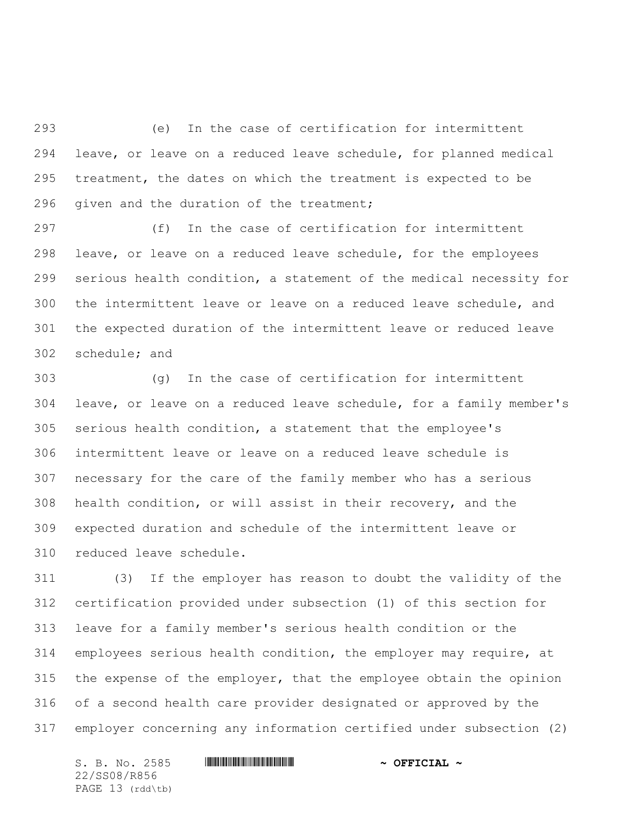(e) In the case of certification for intermittent leave, or leave on a reduced leave schedule, for planned medical treatment, the dates on which the treatment is expected to be 296 given and the duration of the treatment;

 (f) In the case of certification for intermittent leave, or leave on a reduced leave schedule, for the employees serious health condition, a statement of the medical necessity for the intermittent leave or leave on a reduced leave schedule, and the expected duration of the intermittent leave or reduced leave schedule; and

 (g) In the case of certification for intermittent leave, or leave on a reduced leave schedule, for a family member's serious health condition, a statement that the employee's intermittent leave or leave on a reduced leave schedule is necessary for the care of the family member who has a serious health condition, or will assist in their recovery, and the expected duration and schedule of the intermittent leave or reduced leave schedule.

 (3) If the employer has reason to doubt the validity of the certification provided under subsection (1) of this section for leave for a family member's serious health condition or the employees serious health condition, the employer may require, at the expense of the employer, that the employee obtain the opinion of a second health care provider designated or approved by the employer concerning any information certified under subsection (2)

S. B. No. 2585 \*SS08/R856\* **~ OFFICIAL ~** 22/SS08/R856 PAGE 13 (rdd\tb)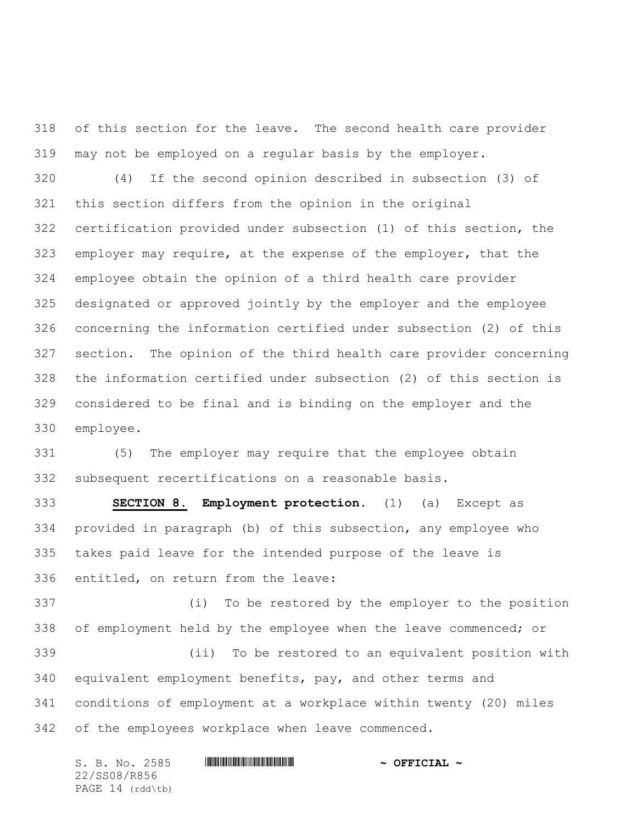of this section for the leave. The second health care provider may not be employed on a regular basis by the employer.

 (4) If the second opinion described in subsection (3) of this section differs from the opinion in the original certification provided under subsection (1) of this section, the employer may require, at the expense of the employer, that the employee obtain the opinion of a third health care provider designated or approved jointly by the employer and the employee concerning the information certified under subsection (2) of this section. The opinion of the third health care provider concerning the information certified under subsection (2) of this section is considered to be final and is binding on the employer and the employee.

 (5) The employer may require that the employee obtain subsequent recertifications on a reasonable basis.

 **SECTION 8. Employment protection.** (1) (a) Except as provided in paragraph (b) of this subsection, any employee who takes paid leave for the intended purpose of the leave is entitled, on return from the leave:

 (i) To be restored by the employer to the position 338 of employment held by the employee when the leave commenced; or (ii) To be restored to an equivalent position with equivalent employment benefits, pay, and other terms and conditions of employment at a workplace within twenty (20) miles of the employees workplace when leave commenced.

S. B. No. 2585 \*SS08/R856\* **~ OFFICIAL ~** 22/SS08/R856 PAGE 14 (rdd\tb)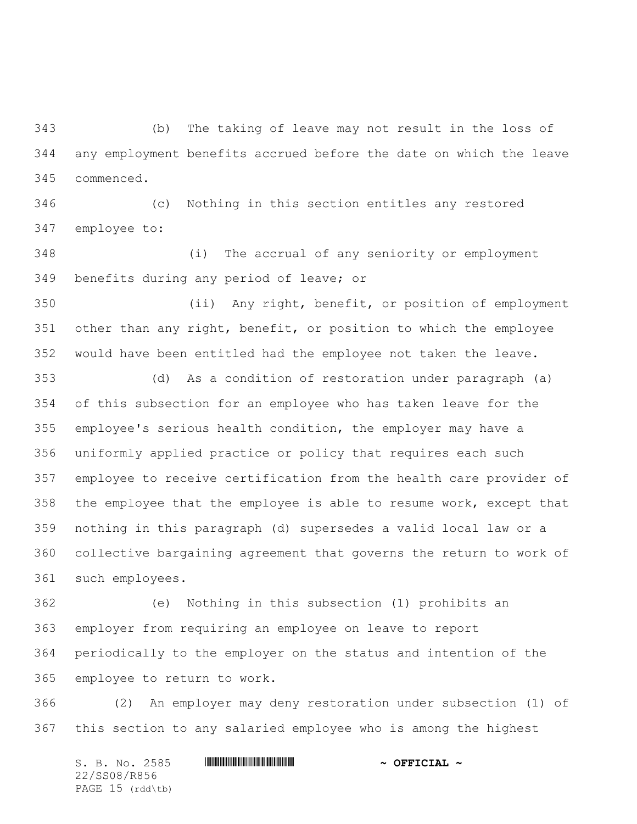(b) The taking of leave may not result in the loss of any employment benefits accrued before the date on which the leave commenced.

 (c) Nothing in this section entitles any restored employee to:

 (i) The accrual of any seniority or employment benefits during any period of leave; or

 (ii) Any right, benefit, or position of employment other than any right, benefit, or position to which the employee would have been entitled had the employee not taken the leave.

 (d) As a condition of restoration under paragraph (a) of this subsection for an employee who has taken leave for the employee's serious health condition, the employer may have a uniformly applied practice or policy that requires each such employee to receive certification from the health care provider of the employee that the employee is able to resume work, except that nothing in this paragraph (d) supersedes a valid local law or a collective bargaining agreement that governs the return to work of such employees.

 (e) Nothing in this subsection (1) prohibits an employer from requiring an employee on leave to report periodically to the employer on the status and intention of the employee to return to work.

 (2) An employer may deny restoration under subsection (1) of this section to any salaried employee who is among the highest

S. B. No. 2585 \*SS08/R856\* **~ OFFICIAL ~** 22/SS08/R856 PAGE 15 (rdd\tb)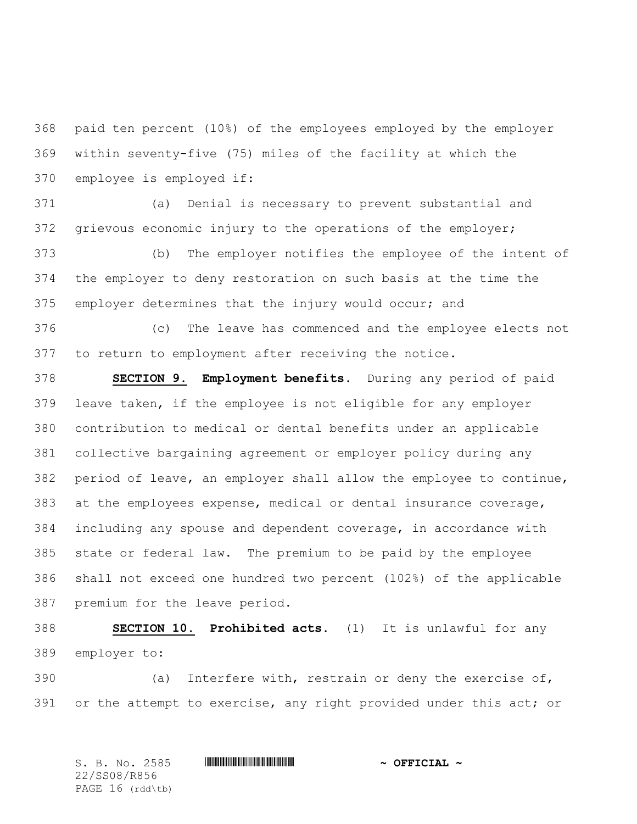paid ten percent (10%) of the employees employed by the employer within seventy-five (75) miles of the facility at which the employee is employed if:

 (a) Denial is necessary to prevent substantial and grievous economic injury to the operations of the employer;

 (b) The employer notifies the employee of the intent of the employer to deny restoration on such basis at the time the employer determines that the injury would occur; and

 (c) The leave has commenced and the employee elects not to return to employment after receiving the notice.

 **SECTION 9. Employment benefits.** During any period of paid leave taken, if the employee is not eligible for any employer contribution to medical or dental benefits under an applicable collective bargaining agreement or employer policy during any period of leave, an employer shall allow the employee to continue, at the employees expense, medical or dental insurance coverage, including any spouse and dependent coverage, in accordance with state or federal law. The premium to be paid by the employee shall not exceed one hundred two percent (102%) of the applicable premium for the leave period.

 **SECTION 10. Prohibited acts.** (1) It is unlawful for any employer to:

 (a) Interfere with, restrain or deny the exercise of, 391 or the attempt to exercise, any right provided under this act; or

S. B. No. 2585 \*SS08/R856\* **~ OFFICIAL ~** 22/SS08/R856 PAGE 16 (rdd\tb)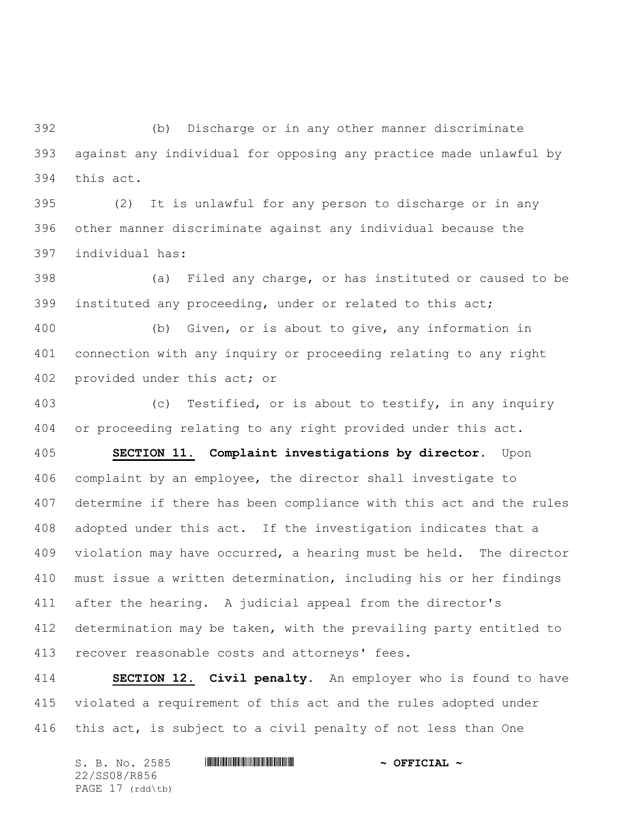(b) Discharge or in any other manner discriminate against any individual for opposing any practice made unlawful by this act.

 (2) It is unlawful for any person to discharge or in any other manner discriminate against any individual because the individual has:

 (a) Filed any charge, or has instituted or caused to be instituted any proceeding, under or related to this act;

 (b) Given, or is about to give, any information in connection with any inquiry or proceeding relating to any right provided under this act; or

 (c) Testified, or is about to testify, in any inquiry or proceeding relating to any right provided under this act.

 **SECTION 11. Complaint investigations by director.** Upon complaint by an employee, the director shall investigate to determine if there has been compliance with this act and the rules adopted under this act. If the investigation indicates that a violation may have occurred, a hearing must be held. The director must issue a written determination, including his or her findings after the hearing. A judicial appeal from the director's determination may be taken, with the prevailing party entitled to recover reasonable costs and attorneys' fees.

 **SECTION 12. Civil penalty.** An employer who is found to have violated a requirement of this act and the rules adopted under this act, is subject to a civil penalty of not less than One

| S. B. No. 2585   | $\sim$ OFFICIAL $\sim$ |
|------------------|------------------------|
| 22/SS08/R856     |                        |
| PAGE 17 (rdd\tb) |                        |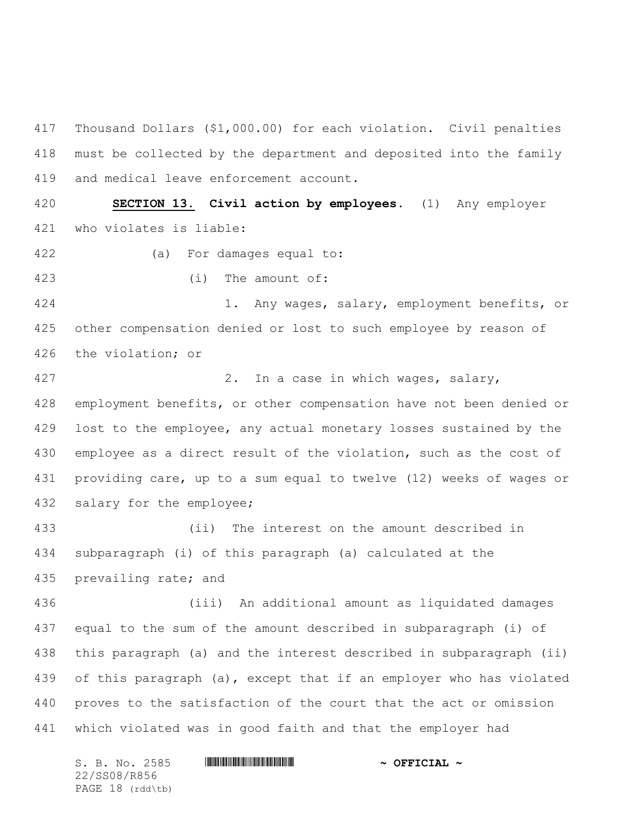Thousand Dollars (\$1,000.00) for each violation. Civil penalties must be collected by the department and deposited into the family and medical leave enforcement account.

 **SECTION 13. Civil action by employees.** (1) Any employer who violates is liable:

- (a) For damages equal to:
- (i) The amount of:

 1. Any wages, salary, employment benefits, or other compensation denied or lost to such employee by reason of the violation; or

 2. In a case in which wages, salary, employment benefits, or other compensation have not been denied or lost to the employee, any actual monetary losses sustained by the employee as a direct result of the violation, such as the cost of providing care, up to a sum equal to twelve (12) weeks of wages or salary for the employee;

 (ii) The interest on the amount described in subparagraph (i) of this paragraph (a) calculated at the prevailing rate; and

 (iii) An additional amount as liquidated damages equal to the sum of the amount described in subparagraph (i) of this paragraph (a) and the interest described in subparagraph (ii) of this paragraph (a), except that if an employer who has violated proves to the satisfaction of the court that the act or omission which violated was in good faith and that the employer had

S. B. No. 2585 \*SS08/R856\* **~ OFFICIAL ~** 22/SS08/R856 PAGE 18 (rdd\tb)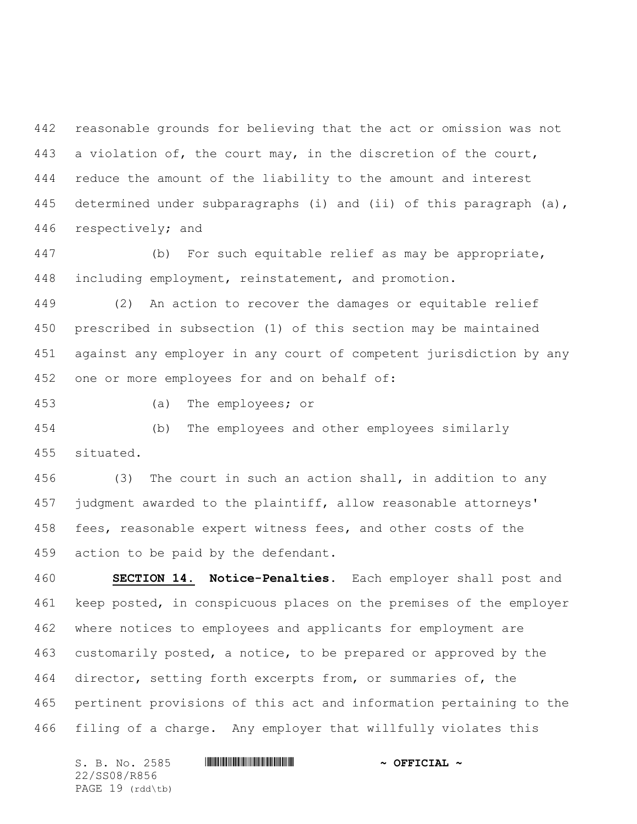reasonable grounds for believing that the act or omission was not a violation of, the court may, in the discretion of the court, reduce the amount of the liability to the amount and interest 445 determined under subparagraphs (i) and (ii) of this paragraph (a), respectively; and

 (b) For such equitable relief as may be appropriate, including employment, reinstatement, and promotion.

 (2) An action to recover the damages or equitable relief prescribed in subsection (1) of this section may be maintained against any employer in any court of competent jurisdiction by any one or more employees for and on behalf of:

(a) The employees; or

 (b) The employees and other employees similarly situated.

 (3) The court in such an action shall, in addition to any judgment awarded to the plaintiff, allow reasonable attorneys' fees, reasonable expert witness fees, and other costs of the action to be paid by the defendant.

 **SECTION 14. Notice-Penalties.** Each employer shall post and keep posted, in conspicuous places on the premises of the employer where notices to employees and applicants for employment are customarily posted, a notice, to be prepared or approved by the director, setting forth excerpts from, or summaries of, the pertinent provisions of this act and information pertaining to the filing of a charge. Any employer that willfully violates this

S. B. No. 2585 \*SS08/R856\* **~ OFFICIAL ~** 22/SS08/R856 PAGE 19 (rdd\tb)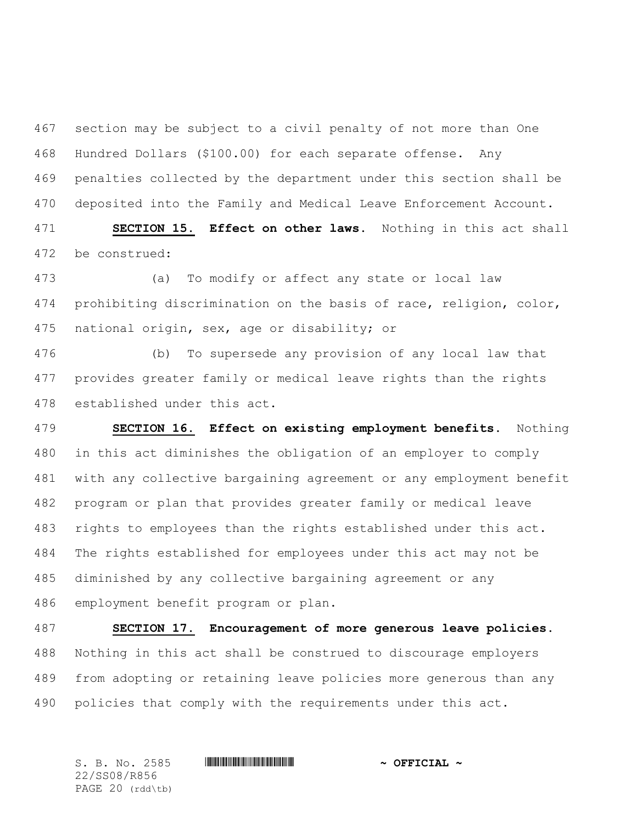section may be subject to a civil penalty of not more than One Hundred Dollars (\$100.00) for each separate offense. Any penalties collected by the department under this section shall be deposited into the Family and Medical Leave Enforcement Account.

 **SECTION 15. Effect on other laws.** Nothing in this act shall be construed:

 (a) To modify or affect any state or local law prohibiting discrimination on the basis of race, religion, color, national origin, sex, age or disability; or

 (b) To supersede any provision of any local law that provides greater family or medical leave rights than the rights established under this act.

 **SECTION 16. Effect on existing employment benefits.** Nothing in this act diminishes the obligation of an employer to comply with any collective bargaining agreement or any employment benefit program or plan that provides greater family or medical leave rights to employees than the rights established under this act. The rights established for employees under this act may not be diminished by any collective bargaining agreement or any employment benefit program or plan.

 **SECTION 17. Encouragement of more generous leave policies.** Nothing in this act shall be construed to discourage employers from adopting or retaining leave policies more generous than any policies that comply with the requirements under this act.

S. B. No. 2585 \*SS08/R856\* **~ OFFICIAL ~** 22/SS08/R856 PAGE 20 (rdd\tb)